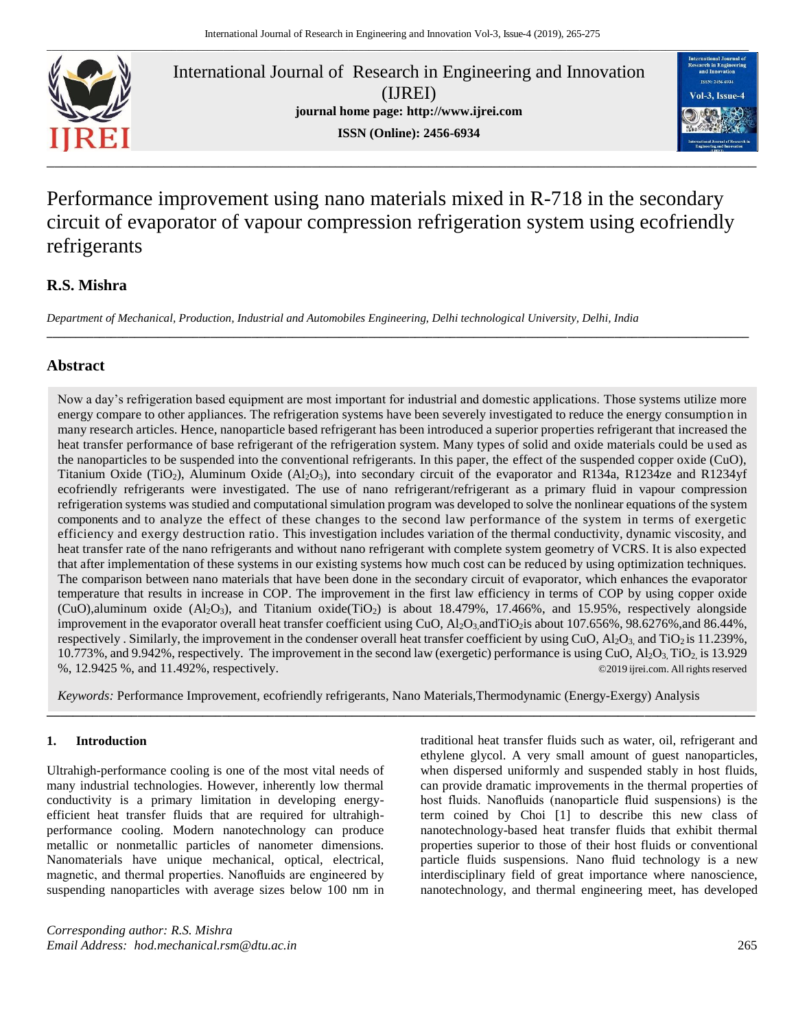

International Journal of Research in Engineering and Innovation (IJREI) **journal home page: [http://www.ijrei.com](http://www.ijrei.com/) ISSN (Online): 2456-6934**



Performance improvement using nano materials mixed in R-718 in the secondary circuit of evaporator of vapour compression refrigeration system using ecofriendly refrigerants

**\_\_\_\_\_\_\_\_\_\_\_\_\_\_\_\_\_\_\_\_\_\_\_\_\_\_\_\_\_\_\_\_\_\_\_\_\_\_\_\_\_\_\_\_\_\_\_\_\_\_\_\_\_\_\_\_\_\_\_\_\_\_\_\_\_\_\_\_\_\_\_\_\_\_\_\_\_\_\_\_\_\_\_\_\_\_\_\_\_\_\_\_\_\_\_\_\_\_\_\_\_\_\_\_\_\_\_\_\_\_\_\_\_\_\_\_\_\_\_\_**

# **R.S. Mishra**

*Department of Mechanical, Production, Industrial and Automobiles Engineering, Delhi technological University, Delhi, India*

# **Abstract**

Now a day's refrigeration based equipment are most important for industrial and domestic applications. Those systems utilize more energy compare to other appliances. The refrigeration systems have been severely investigated to reduce the energy consumption in many research articles. Hence, nanoparticle based refrigerant has been introduced a superior properties refrigerant that increased the heat transfer performance of base refrigerant of the refrigeration system. Many types of solid and oxide materials could be used as the nanoparticles to be suspended into the conventional refrigerants. In this paper, the effect of the suspended copper oxide (CuO), Titanium Oxide (TiO2), Aluminum Oxide (Al2O3), into secondary circuit of the evaporator and R134a, R1234ze and R1234yf ecofriendly refrigerants were investigated. The use of nano refrigerant/refrigerant as a primary fluid in vapour compression refrigeration systems was studied and computational simulation program was developed to solve the nonlinear equations of the system components and to analyze the effect of these changes to the second law performance of the system in terms of exergetic efficiency and exergy destruction ratio. This investigation includes variation of the thermal conductivity, dynamic viscosity, and heat transfer rate of the nano refrigerants and without nano refrigerant with complete system geometry of VCRS. It is also expected that after implementation of these systems in our existing systems how much cost can be reduced by using optimization techniques. The comparison between nano materials that have been done in the secondary circuit of evaporator, which enhances the evaporator temperature that results in increase in COP. The improvement in the first law efficiency in terms of COP by using copper oxide (CuO),aluminum oxide  $(AI_2O_3)$ , and Titanium oxide(TiO<sub>2</sub>) is about 18.479%, 17.466%, and 15.95%, respectively alongside improvement in the evaporator overall heat transfer coefficient using CuO,  $Al_2O_3$  and  $TiO_2$  is about 107.656%, 98.6276%, and 86.44%, respectively . Similarly, the improvement in the condenser overall heat transfer coefficient by using CuO, Al<sub>2</sub>O<sub>3</sub>, and TiO<sub>2</sub> is 11.239%, 10.773%, and 9.942%, respectively. The improvement in the second law (exergetic) performance is using CuO,  $Al_2O_3$ , TiO<sub>2</sub> is 13.929 %, 12.9425 %, and 11.492%, respectively. ©2019 ijrei.com. All rights reserved

*Keywords:* Performance Improvement, ecofriendly refrigerants, Nano Materials,Thermodynamic (Energy-Exergy) Analysis

**\_\_\_\_\_\_\_\_\_\_\_\_\_\_\_\_\_\_\_\_\_\_\_\_\_\_\_\_\_\_\_\_\_\_\_\_\_\_\_\_\_\_\_\_\_\_\_\_\_\_\_\_\_\_\_\_\_\_\_\_\_\_\_\_\_\_\_\_\_\_\_\_\_\_\_\_\_\_\_\_\_\_\_\_\_\_\_\_\_\_\_\_\_\_\_\_\_\_\_\_\_\_\_\_\_\_\_\_\_**

#### **1. Introduction**

Ultrahigh-performance cooling is one of the most vital needs of many industrial technologies. However, inherently low thermal conductivity is a primary limitation in developing energyefficient heat transfer fluids that are required for ultrahighperformance cooling. Modern nanotechnology can produce metallic or nonmetallic particles of nanometer dimensions. Nanomaterials have unique mechanical, optical, electrical, magnetic, and thermal properties. Nanofluids are engineered by suspending nanoparticles with average sizes below 100 nm in

*Corresponding author: R.S. Mishra Email Address: hod.mechanical.rsm@dtu.ac.in* 265

traditional heat transfer fluids such as water, oil, refrigerant and ethylene glycol. A very small amount of guest nanoparticles, when dispersed uniformly and suspended stably in host fluids, can provide dramatic improvements in the thermal properties of host fluids. Nanofluids (nanoparticle fluid suspensions) is the term coined by Choi [1] to describe this new class of nanotechnology-based heat transfer fluids that exhibit thermal properties superior to those of their host fluids or conventional particle fluids suspensions. Nano fluid technology is a new interdisciplinary field of great importance where nanoscience, nanotechnology, and thermal engineering meet, has developed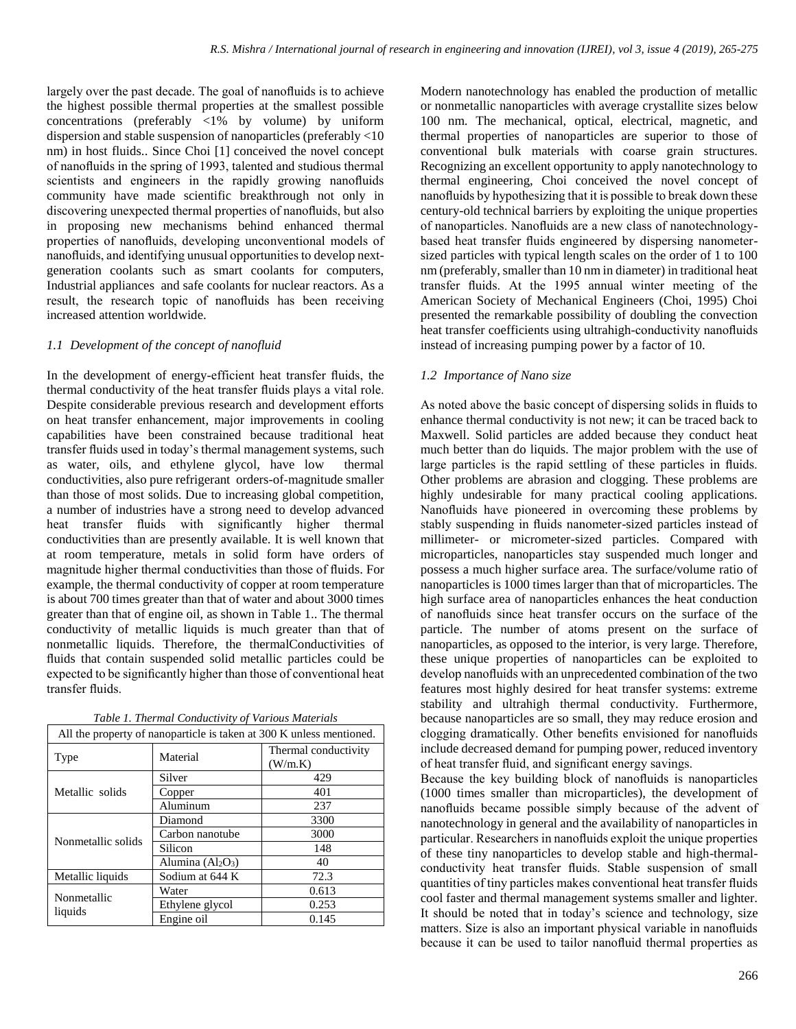largely over the past decade. The goal of nanofluids is to achieve the highest possible thermal properties at the smallest possible concentrations (preferably <1% by volume) by uniform dispersion and stable suspension of nanoparticles (preferably <10 nm) in host fluids.. Since Choi [1] conceived the novel concept of nanofluids in the spring of 1993, talented and studious thermal scientists and engineers in the rapidly growing nanofluids community have made scientific breakthrough not only in discovering unexpected thermal properties of nanofluids, but also in proposing new mechanisms behind enhanced thermal properties of nanofluids, developing unconventional models of nanofluids, and identifying unusual opportunities to develop nextgeneration coolants such as smart coolants for computers, Industrial appliances and safe coolants for nuclear reactors. As a result, the research topic of nanofluids has been receiving increased attention worldwide.

# *1.1 Development of the concept of nanofluid*

In the development of energy-efficient heat transfer fluids, the thermal conductivity of the heat transfer fluids plays a vital role. Despite considerable previous research and development efforts on heat transfer enhancement, major improvements in cooling capabilities have been constrained because traditional heat transfer fluids used in today's thermal management systems, such as water, oils, and ethylene glycol, have low thermal conductivities, also pure refrigerant orders-of-magnitude smaller than those of most solids. Due to increasing global competition, a number of industries have a strong need to develop advanced heat transfer fluids with significantly higher thermal conductivities than are presently available. It is well known that at room temperature, metals in solid form have orders of magnitude higher thermal conductivities than those of fluids. For example, the thermal conductivity of copper at room temperature is about 700 times greater than that of water and about 3000 times greater than that of engine oil, as shown in Table 1.. The thermal conductivity of metallic liquids is much greater than that of nonmetallic liquids. Therefore, the thermalConductivities of fluids that contain suspended solid metallic particles could be expected to be significantly higher than those of conventional heat transfer fluids.

| Table 1. Thermal Conductivity of Various Materials |
|----------------------------------------------------|
|----------------------------------------------------|

| All the property of nanoparticle is taken at 300 K unless mentioned. |                   |                                 |  |
|----------------------------------------------------------------------|-------------------|---------------------------------|--|
| Type                                                                 | Material          | Thermal conductivity<br>(W/m.K) |  |
|                                                                      | Silver            | 429                             |  |
| Metallic solids                                                      | Copper            | 401                             |  |
|                                                                      | Aluminum          | 237                             |  |
| Nonmetallic solids                                                   | Diamond           | 3300                            |  |
|                                                                      | Carbon nanotube   | 3000                            |  |
|                                                                      | Silicon           | 148                             |  |
|                                                                      | Alumina $(Al2O3)$ | 40                              |  |
| Metallic liquids                                                     | Sodium at 644 K   | 72.3                            |  |
| Nonmetallic<br>liquids                                               | Water             | 0.613                           |  |
|                                                                      | Ethylene glycol   | 0.253                           |  |
|                                                                      | Engine oil        | 0.145                           |  |

Modern nanotechnology has enabled the production of metallic or nonmetallic nanoparticles with average crystallite sizes below 100 nm. The mechanical, optical, electrical, magnetic, and thermal properties of nanoparticles are superior to those of conventional bulk materials with coarse grain structures. Recognizing an excellent opportunity to apply nanotechnology to thermal engineering, Choi conceived the novel concept of nanofluids by hypothesizing that it is possible to break down these century-old technical barriers by exploiting the unique properties of nanoparticles. Nanofluids are a new class of nanotechnologybased heat transfer fluids engineered by dispersing nanometersized particles with typical length scales on the order of 1 to 100 nm (preferably, smaller than 10 nm in diameter) in traditional heat transfer fluids. At the 1995 annual winter meeting of the American Society of Mechanical Engineers (Choi, 1995) Choi presented the remarkable possibility of doubling the convection heat transfer coefficients using ultrahigh-conductivity nanofluids instead of increasing pumping power by a factor of 10.

# *1.2 Importance of Nano size*

As noted above the basic concept of dispersing solids in fluids to enhance thermal conductivity is not new; it can be traced back to Maxwell. Solid particles are added because they conduct heat much better than do liquids. The major problem with the use of large particles is the rapid settling of these particles in fluids. Other problems are abrasion and clogging. These problems are highly undesirable for many practical cooling applications. Nanofluids have pioneered in overcoming these problems by stably suspending in fluids nanometer-sized particles instead of millimeter- or micrometer-sized particles. Compared with microparticles, nanoparticles stay suspended much longer and possess a much higher surface area. The surface/volume ratio of nanoparticles is 1000 times larger than that of microparticles. The high surface area of nanoparticles enhances the heat conduction of nanofluids since heat transfer occurs on the surface of the particle. The number of atoms present on the surface of nanoparticles, as opposed to the interior, is very large. Therefore, these unique properties of nanoparticles can be exploited to develop nanofluids with an unprecedented combination of the two features most highly desired for heat transfer systems: extreme stability and ultrahigh thermal conductivity. Furthermore, because nanoparticles are so small, they may reduce erosion and clogging dramatically. Other benefits envisioned for nanofluids include decreased demand for pumping power, reduced inventory of heat transfer fluid, and significant energy savings.

Because the key building block of nanofluids is nanoparticles (1000 times smaller than microparticles), the development of nanofluids became possible simply because of the advent of nanotechnology in general and the availability of nanoparticles in particular. Researchers in nanofluids exploit the unique properties of these tiny nanoparticles to develop stable and high-thermalconductivity heat transfer fluids. Stable suspension of small quantities of tiny particles makes conventional heat transfer fluids cool faster and thermal management systems smaller and lighter. It should be noted that in today's science and technology, size matters. Size is also an important physical variable in nanofluids because it can be used to tailor nanofluid thermal properties as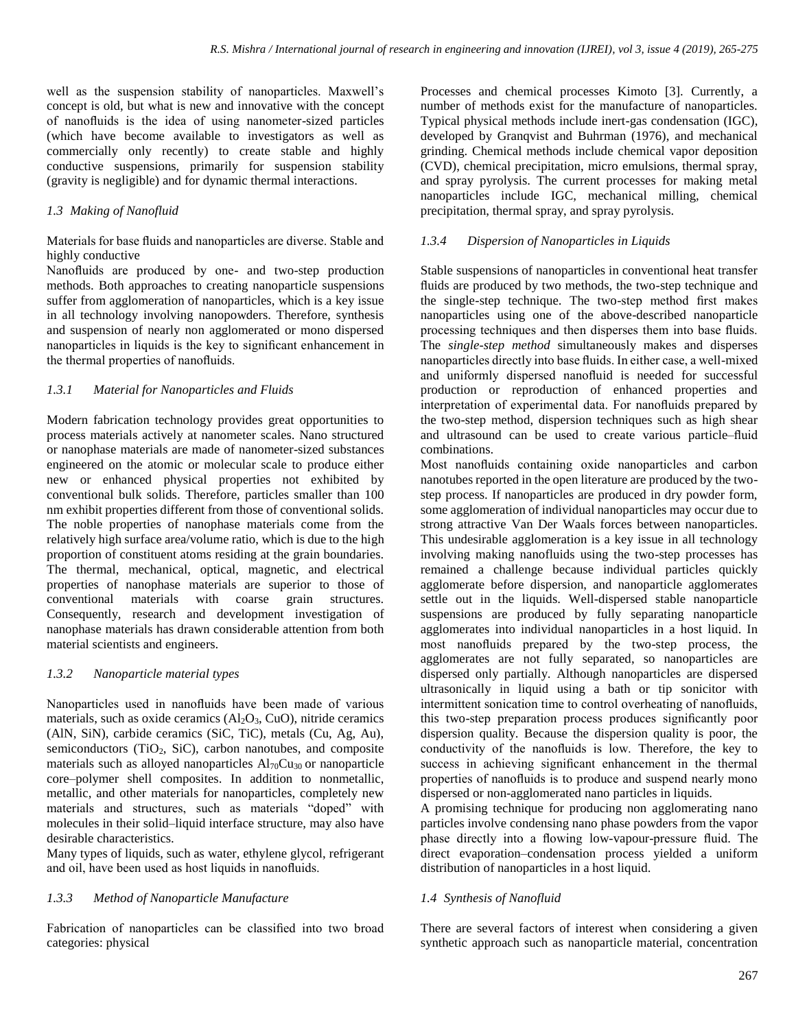well as the suspension stability of nanoparticles. Maxwell's concept is old, but what is new and innovative with the concept of nanofluids is the idea of using nanometer-sized particles (which have become available to investigators as well as commercially only recently) to create stable and highly conductive suspensions, primarily for suspension stability (gravity is negligible) and for dynamic thermal interactions.

# *1.3 Making of Nanofluid*

Materials for base fluids and nanoparticles are diverse. Stable and highly conductive

Nanofluids are produced by one- and two-step production methods. Both approaches to creating nanoparticle suspensions suffer from agglomeration of nanoparticles, which is a key issue in all technology involving nanopowders. Therefore, synthesis and suspension of nearly non agglomerated or mono dispersed nanoparticles in liquids is the key to significant enhancement in the thermal properties of nanofluids.

### *1.3.1 Material for Nanoparticles and Fluids*

Modern fabrication technology provides great opportunities to process materials actively at nanometer scales. Nano structured or nanophase materials are made of nanometer-sized substances engineered on the atomic or molecular scale to produce either new or enhanced physical properties not exhibited by conventional bulk solids. Therefore, particles smaller than 100 nm exhibit properties different from those of conventional solids. The noble properties of nanophase materials come from the relatively high surface area/volume ratio, which is due to the high proportion of constituent atoms residing at the grain boundaries. The thermal, mechanical, optical, magnetic, and electrical properties of nanophase materials are superior to those of conventional materials with coarse grain structures. Consequently, research and development investigation of nanophase materials has drawn considerable attention from both material scientists and engineers.

#### *1.3.2 Nanoparticle material types*

Nanoparticles used in nanofluids have been made of various materials, such as oxide ceramics  $(A<sub>2</sub>O<sub>3</sub>, CuO)$ , nitride ceramics (AlN, SiN), carbide ceramics (SiC, TiC), metals (Cu, Ag, Au), semiconductors (TiO<sub>2</sub>, SiC), carbon nanotubes, and composite materials such as alloyed nanoparticles  $Al_{70}Cu_{30}$  or nanoparticle core–polymer shell composites. In addition to nonmetallic, metallic, and other materials for nanoparticles, completely new materials and structures, such as materials "doped" with molecules in their solid–liquid interface structure, may also have desirable characteristics.

Many types of liquids, such as water, ethylene glycol, refrigerant and oil, have been used as host liquids in nanofluids.

### *1.3.3 Method of Nanoparticle Manufacture*

Fabrication of nanoparticles can be classified into two broad categories: physical

Processes and chemical processes Kimoto [3]. Currently, a number of methods exist for the manufacture of nanoparticles. Typical physical methods include inert-gas condensation (IGC), developed by Granqvist and Buhrman (1976), and mechanical grinding. Chemical methods include chemical vapor deposition (CVD), chemical precipitation, micro emulsions, thermal spray, and spray pyrolysis. The current processes for making metal nanoparticles include IGC, mechanical milling, chemical precipitation, thermal spray, and spray pyrolysis.

#### *1.3.4 Dispersion of Nanoparticles in Liquids*

Stable suspensions of nanoparticles in conventional heat transfer fluids are produced by two methods, the two-step technique and the single-step technique. The two-step method first makes nanoparticles using one of the above-described nanoparticle processing techniques and then disperses them into base fluids. The *single-step method* simultaneously makes and disperses nanoparticles directly into base fluids. In either case, a well-mixed and uniformly dispersed nanofluid is needed for successful production or reproduction of enhanced properties and interpretation of experimental data. For nanofluids prepared by the two-step method, dispersion techniques such as high shear and ultrasound can be used to create various particle–fluid combinations.

Most nanofluids containing oxide nanoparticles and carbon nanotubes reported in the open literature are produced by the twostep process. If nanoparticles are produced in dry powder form, some agglomeration of individual nanoparticles may occur due to strong attractive Van Der Waals forces between nanoparticles. This undesirable agglomeration is a key issue in all technology involving making nanofluids using the two-step processes has remained a challenge because individual particles quickly agglomerate before dispersion, and nanoparticle agglomerates settle out in the liquids. Well-dispersed stable nanoparticle suspensions are produced by fully separating nanoparticle agglomerates into individual nanoparticles in a host liquid. In most nanofluids prepared by the two-step process, the agglomerates are not fully separated, so nanoparticles are dispersed only partially. Although nanoparticles are dispersed ultrasonically in liquid using a bath or tip sonicitor with intermittent sonication time to control overheating of nanofluids, this two-step preparation process produces significantly poor dispersion quality. Because the dispersion quality is poor, the conductivity of the nanofluids is low. Therefore, the key to success in achieving significant enhancement in the thermal properties of nanofluids is to produce and suspend nearly mono dispersed or non-agglomerated nano particles in liquids.

A promising technique for producing non agglomerating nano particles involve condensing nano phase powders from the vapor phase directly into a flowing low-vapour-pressure fluid. The direct evaporation–condensation process yielded a uniform distribution of nanoparticles in a host liquid.

### *1.4 Synthesis of Nanofluid*

There are several factors of interest when considering a given synthetic approach such as nanoparticle material, concentration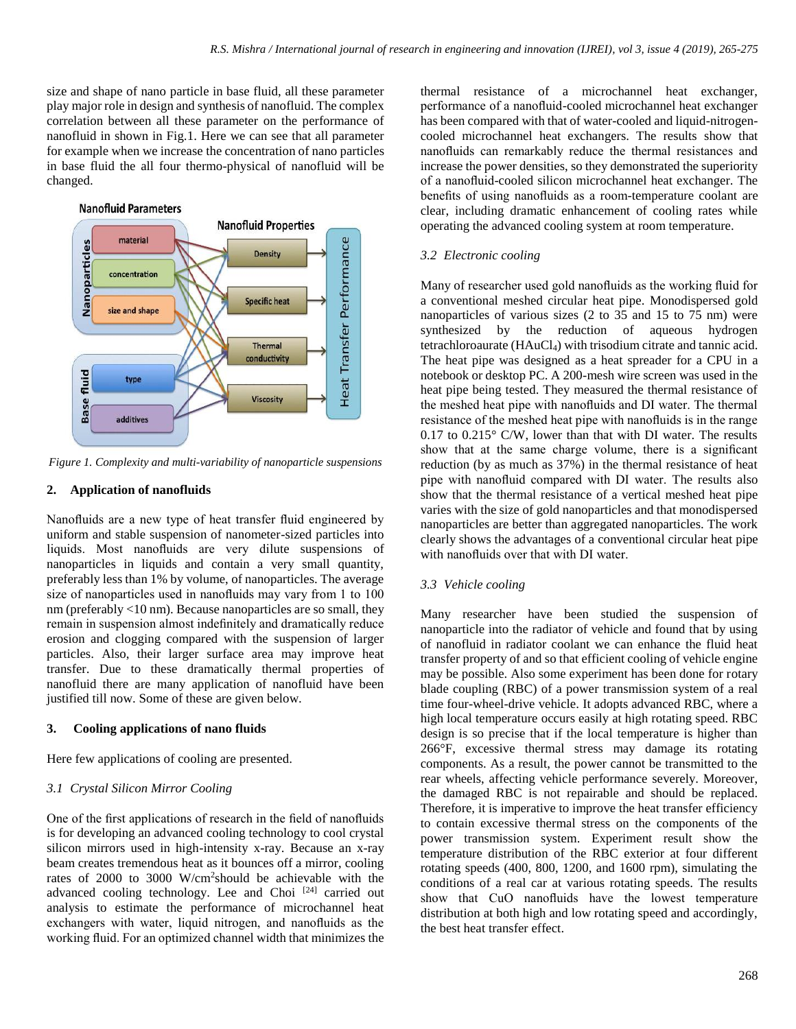size and shape of nano particle in base fluid, all these parameter play major role in design and synthesis of nanofluid. The complex correlation between all these parameter on the performance of nanofluid in shown in Fig.1. Here we can see that all parameter for example when we increase the concentration of nano particles in base fluid the all four thermo-physical of nanofluid will be changed.



*Figure 1. Complexity and multi-variability of nanoparticle suspensions*

### **2. Application of nanofluids**

Nanofluids are a new type of heat transfer fluid engineered by uniform and stable suspension of nanometer-sized particles into liquids. Most nanofluids are very dilute suspensions of nanoparticles in liquids and contain a very small quantity, preferably less than 1% by volume, of nanoparticles. The average size of nanoparticles used in nanofluids may vary from 1 to 100 nm (preferably <10 nm). Because nanoparticles are so small, they remain in suspension almost indefinitely and dramatically reduce erosion and clogging compared with the suspension of larger particles. Also, their larger surface area may improve heat transfer. Due to these dramatically thermal properties of nanofluid there are many application of nanofluid have been justified till now. Some of these are given below.

### **3. Cooling applications of nano fluids**

Here few applications of cooling are presented.

### *3.1 Crystal Silicon Mirror Cooling*

One of the first applications of research in the field of nanofluids is for developing an advanced cooling technology to cool crystal silicon mirrors used in high-intensity x-ray. Because an x-ray beam creates tremendous heat as it bounces off a mirror, cooling rates of 2000 to 3000 W/cm<sup>2</sup> should be achievable with the advanced cooling technology. Lee and Choi [24] carried out analysis to estimate the performance of microchannel heat exchangers with water, liquid nitrogen, and nanofluids as the working fluid. For an optimized channel width that minimizes the

thermal resistance of a microchannel heat exchanger, performance of a nanofluid-cooled microchannel heat exchanger has been compared with that of water-cooled and liquid-nitrogencooled microchannel heat exchangers. The results show that nanofluids can remarkably reduce the thermal resistances and increase the power densities, so they demonstrated the superiority of a nanofluid-cooled silicon microchannel heat exchanger. The benefits of using nanofluids as a room-temperature coolant are clear, including dramatic enhancement of cooling rates while operating the advanced cooling system at room temperature.

### *3.2 Electronic cooling*

Many of researcher used gold nanofluids as the working fluid for a conventional meshed circular heat pipe. Monodispersed gold nanoparticles of various sizes (2 to 35 and 15 to 75 nm) were synthesized by the reduction of aqueous hydrogen tetrachloroaurate (HAuCl4) with trisodium citrate and tannic acid. The heat pipe was designed as a heat spreader for a CPU in a notebook or desktop PC. A 200-mesh wire screen was used in the heat pipe being tested. They measured the thermal resistance of the meshed heat pipe with nanofluids and DI water. The thermal resistance of the meshed heat pipe with nanofluids is in the range 0.17 to 0.215° C/W, lower than that with DI water. The results show that at the same charge volume, there is a significant reduction (by as much as 37%) in the thermal resistance of heat pipe with nanofluid compared with DI water. The results also show that the thermal resistance of a vertical meshed heat pipe varies with the size of gold nanoparticles and that monodispersed nanoparticles are better than aggregated nanoparticles. The work clearly shows the advantages of a conventional circular heat pipe with nanofluids over that with DI water.

### *3.3 Vehicle cooling*

Many researcher have been studied the suspension of nanoparticle into the radiator of vehicle and found that by using of nanofluid in radiator coolant we can enhance the fluid heat transfer property of and so that efficient cooling of vehicle engine may be possible. Also some experiment has been done for rotary blade coupling (RBC) of a power transmission system of a real time four-wheel-drive vehicle. It adopts advanced RBC, where a high local temperature occurs easily at high rotating speed. RBC design is so precise that if the local temperature is higher than 266°F, excessive thermal stress may damage its rotating components. As a result, the power cannot be transmitted to the rear wheels, affecting vehicle performance severely. Moreover, the damaged RBC is not repairable and should be replaced. Therefore, it is imperative to improve the heat transfer efficiency to contain excessive thermal stress on the components of the power transmission system. Experiment result show the temperature distribution of the RBC exterior at four different rotating speeds (400, 800, 1200, and 1600 rpm), simulating the conditions of a real car at various rotating speeds. The results show that CuO nanofluids have the lowest temperature distribution at both high and low rotating speed and accordingly, the best heat transfer effect.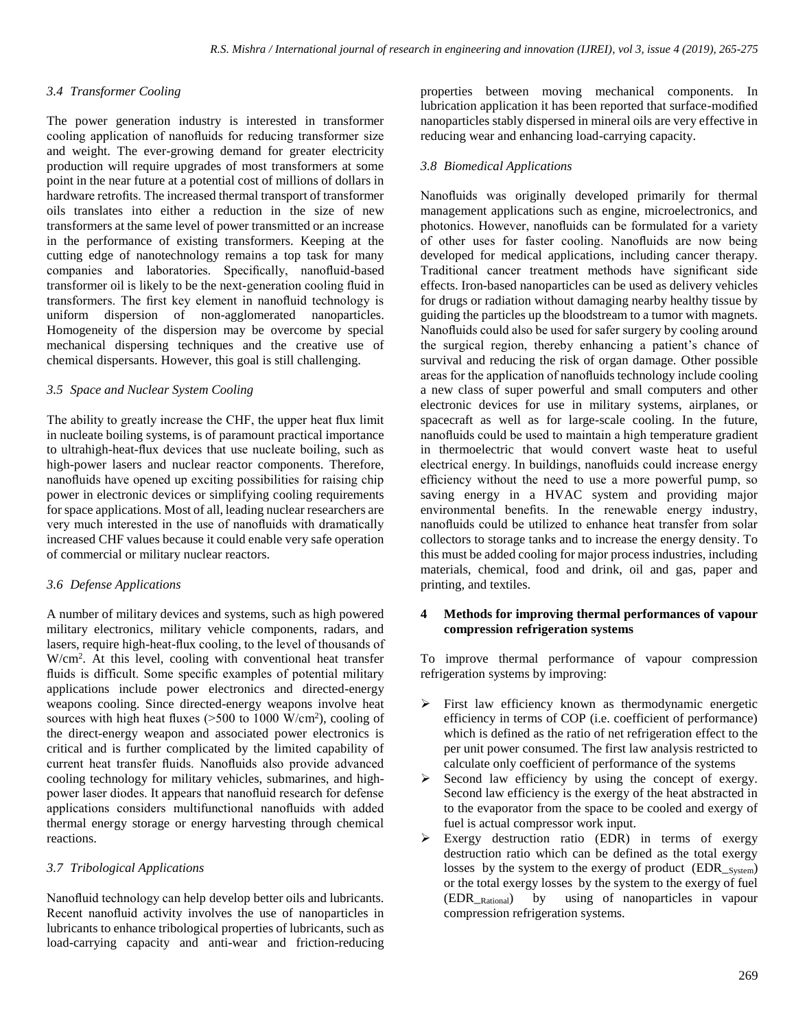#### *3.4 Transformer Cooling*

The power generation industry is interested in transformer cooling application of nanofluids for reducing transformer size and weight. The ever-growing demand for greater electricity production will require upgrades of most transformers at some point in the near future at a potential cost of millions of dollars in hardware retrofits. The increased thermal transport of transformer oils translates into either a reduction in the size of new transformers at the same level of power transmitted or an increase in the performance of existing transformers. Keeping at the cutting edge of nanotechnology remains a top task for many companies and laboratories. Specifically, nanofluid-based transformer oil is likely to be the next-generation cooling fluid in transformers. The first key element in nanofluid technology is uniform dispersion of non-agglomerated nanoparticles. Homogeneity of the dispersion may be overcome by special mechanical dispersing techniques and the creative use of chemical dispersants. However, this goal is still challenging.

#### *3.5 Space and Nuclear System Cooling*

The ability to greatly increase the CHF, the upper heat flux limit in nucleate boiling systems, is of paramount practical importance to ultrahigh-heat-flux devices that use nucleate boiling, such as high-power lasers and nuclear reactor components. Therefore, nanofluids have opened up exciting possibilities for raising chip power in electronic devices or simplifying cooling requirements for space applications. Most of all, leading nuclear researchers are very much interested in the use of nanofluids with dramatically increased CHF values because it could enable very safe operation of commercial or military nuclear reactors.

### *3.6 Defense Applications*

A number of military devices and systems, such as high powered military electronics, military vehicle components, radars, and lasers, require high-heat-flux cooling, to the level of thousands of W/cm<sup>2</sup> . At this level, cooling with conventional heat transfer fluids is difficult. Some specific examples of potential military applications include power electronics and directed-energy weapons cooling. Since directed-energy weapons involve heat sources with high heat fluxes (>500 to 1000 W/cm<sup>2</sup>), cooling of the direct-energy weapon and associated power electronics is critical and is further complicated by the limited capability of current heat transfer fluids. Nanofluids also provide advanced cooling technology for military vehicles, submarines, and highpower laser diodes. It appears that nanofluid research for defense applications considers multifunctional nanofluids with added thermal energy storage or energy harvesting through chemical reactions.

### *3.7 Tribological Applications*

Nanofluid technology can help develop better oils and lubricants. Recent nanofluid activity involves the use of nanoparticles in lubricants to enhance tribological properties of lubricants, such as load-carrying capacity and anti-wear and friction-reducing

properties between moving mechanical components. In lubrication application it has been reported that surface-modified nanoparticles stably dispersed in mineral oils are very effective in reducing wear and enhancing load-carrying capacity.

### *3.8 Biomedical Applications*

Nanofluids was originally developed primarily for thermal management applications such as engine, microelectronics, and photonics. However, nanofluids can be formulated for a variety of other uses for faster cooling. Nanofluids are now being developed for medical applications, including cancer therapy. Traditional cancer treatment methods have significant side effects. Iron-based nanoparticles can be used as delivery vehicles for drugs or radiation without damaging nearby healthy tissue by guiding the particles up the bloodstream to a tumor with magnets. Nanofluids could also be used for safer surgery by cooling around the surgical region, thereby enhancing a patient's chance of survival and reducing the risk of organ damage. Other possible areas for the application of nanofluids technology include cooling a new class of super powerful and small computers and other electronic devices for use in military systems, airplanes, or spacecraft as well as for large-scale cooling. In the future, nanofluids could be used to maintain a high temperature gradient in thermoelectric that would convert waste heat to useful electrical energy. In buildings, nanofluids could increase energy efficiency without the need to use a more powerful pump, so saving energy in a HVAC system and providing major environmental benefits. In the renewable energy industry, nanofluids could be utilized to enhance heat transfer from solar collectors to storage tanks and to increase the energy density. To this must be added cooling for major process industries, including materials, chemical, food and drink, oil and gas, paper and printing, and textiles.

#### **4 Methods for improving thermal performances of vapour compression refrigeration systems**

To improve thermal performance of vapour compression refrigeration systems by improving:

- $\triangleright$  First law efficiency known as thermodynamic energetic efficiency in terms of COP (i.e. coefficient of performance) which is defined as the ratio of net refrigeration effect to the per unit power consumed. The first law analysis restricted to calculate only coefficient of performance of the systems
- $\triangleright$  Second law efficiency by using the concept of exergy. Second law efficiency is the exergy of the heat abstracted in to the evaporator from the space to be cooled and exergy of fuel is actual compressor work input.
- Exergy destruction ratio (EDR) in terms of exergy destruction ratio which can be defined as the total exergy losses by the system to the exergy of product (EDR\_System) or the total exergy losses by the system to the exergy of fuel (EDR\_Rational) by using of nanoparticles in vapour compression refrigeration systems.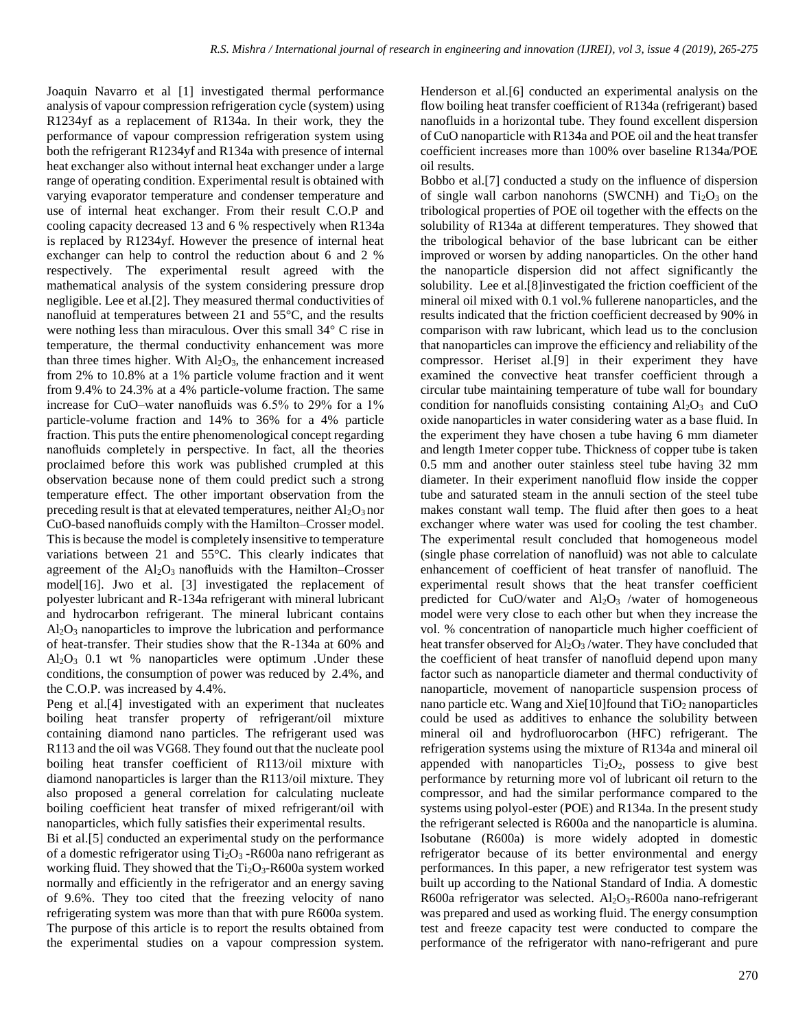Joaquin Navarro et al [1] investigated thermal performance analysis of vapour compression refrigeration cycle (system) using R1234yf as a replacement of R134a. In their work, they the performance of vapour compression refrigeration system using both the refrigerant R1234yf and R134a with presence of internal heat exchanger also without internal heat exchanger under a large range of operating condition. Experimental result is obtained with varying evaporator temperature and condenser temperature and use of internal heat exchanger. From their result C.O.P and cooling capacity decreased 13 and 6 % respectively when R134a is replaced by R1234yf. However the presence of internal heat exchanger can help to control the reduction about 6 and 2 % respectively. The experimental result agreed with the mathematical analysis of the system considering pressure drop negligible. Lee et al.[2]. They measured thermal conductivities of nanofluid at temperatures between 21 and 55°C, and the results were nothing less than miraculous. Over this small 34° C rise in temperature, the thermal conductivity enhancement was more than three times higher. With  $Al_2O_3$ , the enhancement increased from 2% to 10.8% at a 1% particle volume fraction and it went from 9.4% to 24.3% at a 4% particle-volume fraction. The same increase for CuO–water nanofluids was 6.5% to 29% for a 1% particle-volume fraction and 14% to 36% for a 4% particle fraction. This puts the entire phenomenological concept regarding nanofluids completely in perspective. In fact, all the theories proclaimed before this work was published crumpled at this observation because none of them could predict such a strong temperature effect. The other important observation from the preceding result is that at elevated temperatures, neither  $Al_2O_3$  nor CuO-based nanofluids comply with the Hamilton–Crosser model. This is because the model is completely insensitive to temperature variations between 21 and 55°C. This clearly indicates that agreement of the  $Al_2O_3$  nanofluids with the Hamilton–Crosser model[16]. Jwo et al. [3] investigated the replacement of polyester lubricant and R-134a refrigerant with mineral lubricant and hydrocarbon refrigerant. The mineral lubricant contains Al2O<sup>3</sup> nanoparticles to improve the lubrication and performance of heat-transfer. Their studies show that the R-134a at 60% and  $Al_2O_3$  0.1 wt % nanoparticles were optimum . Under these conditions, the consumption of power was reduced by 2.4%, and the C.O.P. was increased by 4.4%.

Peng et al.[4] investigated with an experiment that nucleates boiling heat transfer property of refrigerant/oil mixture containing diamond nano particles. The refrigerant used was R113 and the oil was VG68. They found out that the nucleate pool boiling heat transfer coefficient of R113/oil mixture with diamond nanoparticles is larger than the R113/oil mixture. They also proposed a general correlation for calculating nucleate boiling coefficient heat transfer of mixed refrigerant/oil with nanoparticles, which fully satisfies their experimental results.

Bi et al.[5] conducted an experimental study on the performance of a domestic refrigerator using  $Ti<sub>2</sub>O<sub>3</sub>$  -R600a nano refrigerant as working fluid. They showed that the  $Ti<sub>2</sub>O<sub>3</sub>$ -R600a system worked normally and efficiently in the refrigerator and an energy saving of 9.6%. They too cited that the freezing velocity of nano refrigerating system was more than that with pure R600a system. The purpose of this article is to report the results obtained from the experimental studies on a vapour compression system. Henderson et al.[6] conducted an experimental analysis on the flow boiling heat transfer coefficient of R134a (refrigerant) based nanofluids in a horizontal tube. They found excellent dispersion of CuO nanoparticle with R134a and POE oil and the heat transfer coefficient increases more than 100% over baseline R134a/POE oil results.

Bobbo et al.[7] conducted a study on the influence of dispersion of single wall carbon nanohorns (SWCNH) and  $Ti<sub>2</sub>O<sub>3</sub>$  on the tribological properties of POE oil together with the effects on the solubility of R134a at different temperatures. They showed that the tribological behavior of the base lubricant can be either improved or worsen by adding nanoparticles. On the other hand the nanoparticle dispersion did not affect significantly the solubility. Lee et al.[8]investigated the friction coefficient of the mineral oil mixed with 0.1 vol.% fullerene nanoparticles, and the results indicated that the friction coefficient decreased by 90% in comparison with raw lubricant, which lead us to the conclusion that nanoparticles can improve the efficiency and reliability of the compressor. Heriset al.[9] in their experiment they have examined the convective heat transfer coefficient through a circular tube maintaining temperature of tube wall for boundary condition for nanofluids consisting containing  $Al_2O_3$  and CuO oxide nanoparticles in water considering water as a base fluid. In the experiment they have chosen a tube having 6 mm diameter and length 1meter copper tube. Thickness of copper tube is taken 0.5 mm and another outer stainless steel tube having 32 mm diameter. In their experiment nanofluid flow inside the copper tube and saturated steam in the annuli section of the steel tube makes constant wall temp. The fluid after then goes to a heat exchanger where water was used for cooling the test chamber. The experimental result concluded that homogeneous model (single phase correlation of nanofluid) was not able to calculate enhancement of coefficient of heat transfer of nanofluid. The experimental result shows that the heat transfer coefficient predicted for CuO/water and  $Al_2O_3$  /water of homogeneous model were very close to each other but when they increase the vol. % concentration of nanoparticle much higher coefficient of heat transfer observed for Al<sub>2</sub>O<sub>3</sub>/water. They have concluded that the coefficient of heat transfer of nanofluid depend upon many factor such as nanoparticle diameter and thermal conductivity of nanoparticle, movement of nanoparticle suspension process of nano particle etc. Wang and Xie $[10]$ found that TiO<sub>2</sub> nanoparticles could be used as additives to enhance the solubility between mineral oil and hydrofluorocarbon (HFC) refrigerant. The refrigeration systems using the mixture of R134a and mineral oil appended with nanoparticles  $Ti<sub>2</sub>O<sub>2</sub>$ , possess to give best performance by returning more vol of lubricant oil return to the compressor, and had the similar performance compared to the systems using polyol-ester (POE) and R134a. In the present study the refrigerant selected is R600a and the nanoparticle is alumina. Isobutane (R600a) is more widely adopted in domestic refrigerator because of its better environmental and energy performances. In this paper, a new refrigerator test system was built up according to the National Standard of India. A domestic R600a refrigerator was selected.  $Al_2O_3-R600a$  nano-refrigerant was prepared and used as working fluid. The energy consumption test and freeze capacity test were conducted to compare the performance of the refrigerator with nano-refrigerant and pure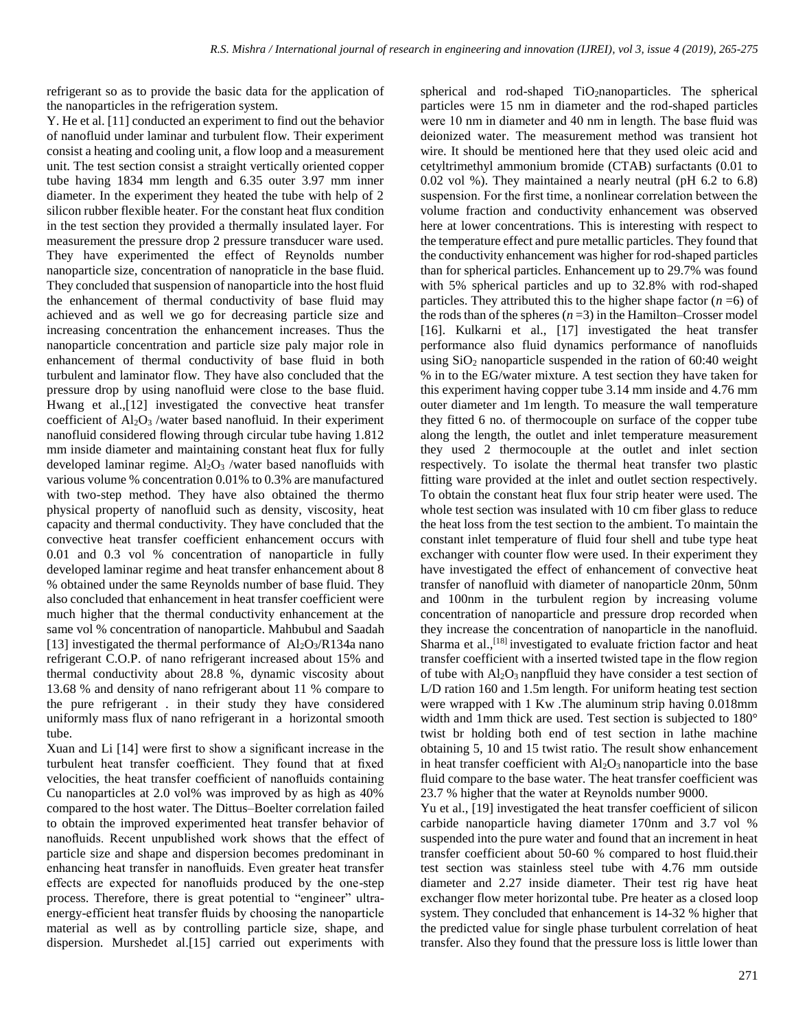refrigerant so as to provide the basic data for the application of the nanoparticles in the refrigeration system.

Y. He et al. [11] conducted an experiment to find out the behavior of nanofluid under laminar and turbulent flow. Their experiment consist a heating and cooling unit, a flow loop and a measurement unit. The test section consist a straight vertically oriented copper tube having 1834 mm length and 6.35 outer 3.97 mm inner diameter. In the experiment they heated the tube with help of 2 silicon rubber flexible heater. For the constant heat flux condition in the test section they provided a thermally insulated layer. For measurement the pressure drop 2 pressure transducer ware used. They have experimented the effect of Reynolds number nanoparticle size, concentration of nanopraticle in the base fluid. They concluded that suspension of nanoparticle into the host fluid the enhancement of thermal conductivity of base fluid may achieved and as well we go for decreasing particle size and increasing concentration the enhancement increases. Thus the nanoparticle concentration and particle size paly major role in enhancement of thermal conductivity of base fluid in both turbulent and laminator flow. They have also concluded that the pressure drop by using nanofluid were close to the base fluid. Hwang et al.,[12] investigated the convective heat transfer coefficient of  $Al_2O_3$  /water based nanofluid. In their experiment nanofluid considered flowing through circular tube having 1.812 mm inside diameter and maintaining constant heat flux for fully developed laminar regime. Al<sub>2</sub>O<sub>3</sub> /water based nanofluids with various volume % concentration 0.01% to 0.3% are manufactured with two-step method. They have also obtained the thermo physical property of nanofluid such as density, viscosity, heat capacity and thermal conductivity. They have concluded that the convective heat transfer coefficient enhancement occurs with 0.01 and 0.3 vol % concentration of nanoparticle in fully developed laminar regime and heat transfer enhancement about 8 % obtained under the same Reynolds number of base fluid. They also concluded that enhancement in heat transfer coefficient were much higher that the thermal conductivity enhancement at the same vol % concentration of nanoparticle. Mahbubul and Saadah [13] investigated the thermal performance of  $Al_2O_3/R134a$  nano refrigerant C.O.P. of nano refrigerant increased about 15% and thermal conductivity about 28.8 %, dynamic viscosity about 13.68 % and density of nano refrigerant about 11 % compare to the pure refrigerant . in their study they have considered uniformly mass flux of nano refrigerant in a horizontal smooth tube.

Xuan and Li [14] were first to show a significant increase in the turbulent heat transfer coefficient. They found that at fixed velocities, the heat transfer coefficient of nanofluids containing Cu nanoparticles at 2.0 vol% was improved by as high as 40% compared to the host water. The Dittus–Boelter correlation failed to obtain the improved experimented heat transfer behavior of nanofluids. Recent unpublished work shows that the effect of particle size and shape and dispersion becomes predominant in enhancing heat transfer in nanofluids. Even greater heat transfer effects are expected for nanofluids produced by the one-step process. Therefore, there is great potential to "engineer" ultraenergy-efficient heat transfer fluids by choosing the nanoparticle material as well as by controlling particle size, shape, and dispersion. Murshedet al.[15] carried out experiments with

spherical and rod-shaped TiO<sub>2</sub>nanoparticles. The spherical particles were 15 nm in diameter and the rod-shaped particles were 10 nm in diameter and 40 nm in length. The base fluid was deionized water. The measurement method was transient hot wire. It should be mentioned here that they used oleic acid and cetyltrimethyl ammonium bromide (CTAB) surfactants (0.01 to 0.02 vol %). They maintained a nearly neutral (pH 6.2 to 6.8) suspension. For the first time, a nonlinear correlation between the volume fraction and conductivity enhancement was observed here at lower concentrations. This is interesting with respect to the temperature effect and pure metallic particles. They found that the conductivity enhancement was higher for rod-shaped particles than for spherical particles. Enhancement up to 29.7% was found with 5% spherical particles and up to 32.8% with rod-shaped particles. They attributed this to the higher shape factor  $(n=6)$  of the rods than of the spheres  $(n=3)$  in the Hamilton–Crosser model [16]. Kulkarni et al., [17] investigated the heat transfer performance also fluid dynamics performance of nanofluids using  $SiO<sub>2</sub>$  nanoparticle suspended in the ration of 60:40 weight % in to the EG/water mixture. A test section they have taken for this experiment having copper tube 3.14 mm inside and 4.76 mm outer diameter and 1m length. To measure the wall temperature they fitted 6 no. of thermocouple on surface of the copper tube along the length, the outlet and inlet temperature measurement they used 2 thermocouple at the outlet and inlet section respectively. To isolate the thermal heat transfer two plastic fitting ware provided at the inlet and outlet section respectively. To obtain the constant heat flux four strip heater were used. The whole test section was insulated with 10 cm fiber glass to reduce the heat loss from the test section to the ambient. To maintain the constant inlet temperature of fluid four shell and tube type heat exchanger with counter flow were used. In their experiment they have investigated the effect of enhancement of convective heat transfer of nanofluid with diameter of nanoparticle 20nm, 50nm and 100nm in the turbulent region by increasing volume concentration of nanoparticle and pressure drop recorded when they increase the concentration of nanoparticle in the nanofluid. Sharma et al.,<sup>[18]</sup> investigated to evaluate friction factor and heat transfer coefficient with a inserted twisted tape in the flow region of tube with  $Al_2O_3$  nanpfluid they have consider a test section of L/D ration 160 and 1.5m length. For uniform heating test section were wrapped with 1 Kw .The aluminum strip having 0.018mm width and 1mm thick are used. Test section is subjected to 180° twist br holding both end of test section in lathe machine obtaining 5, 10 and 15 twist ratio. The result show enhancement in heat transfer coefficient with  $Al_2O_3$  nanoparticle into the base fluid compare to the base water. The heat transfer coefficient was 23.7 % higher that the water at Reynolds number 9000.

Yu et al., [19] investigated the heat transfer coefficient of silicon carbide nanoparticle having diameter 170nm and 3.7 vol % suspended into the pure water and found that an increment in heat transfer coefficient about 50-60 % compared to host fluid.their test section was stainless steel tube with 4.76 mm outside diameter and 2.27 inside diameter. Their test rig have heat exchanger flow meter horizontal tube. Pre heater as a closed loop system. They concluded that enhancement is 14-32 % higher that the predicted value for single phase turbulent correlation of heat transfer. Also they found that the pressure loss is little lower than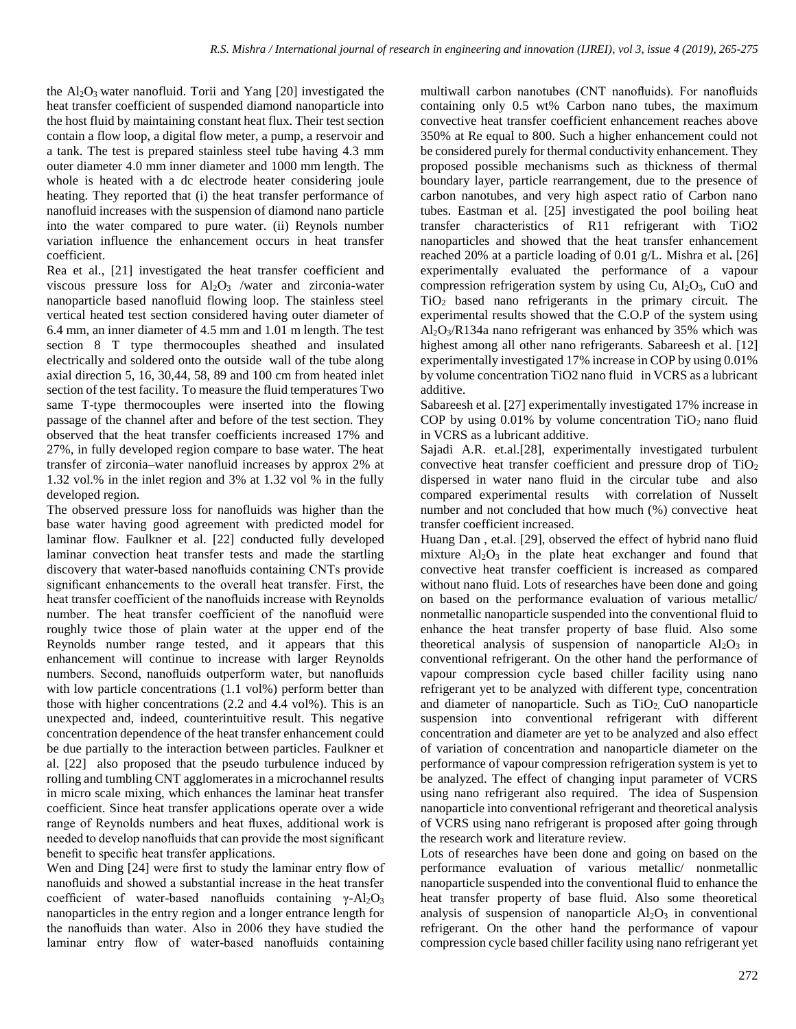the  $Al_2O_3$  water nanofluid. Torii and Yang [20] investigated the heat transfer coefficient of suspended diamond nanoparticle into the host fluid by maintaining constant heat flux. Their test section contain a flow loop, a digital flow meter, a pump, a reservoir and a tank. The test is prepared stainless steel tube having 4.3 mm outer diameter 4.0 mm inner diameter and 1000 mm length. The whole is heated with a dc electrode heater considering joule heating. They reported that (i) the heat transfer performance of nanofluid increases with the suspension of diamond nano particle into the water compared to pure water. (ii) Reynols number variation influence the enhancement occurs in heat transfer coefficient.

Rea et al., [21] investigated the heat transfer coefficient and viscous pressure loss for Al2O<sup>3</sup> /water and zirconia-water nanoparticle based nanofluid flowing loop. The stainless steel vertical heated test section considered having outer diameter of 6.4 mm, an inner diameter of 4.5 mm and 1.01 m length. The test section 8 T type thermocouples sheathed and insulated electrically and soldered onto the outside wall of the tube along axial direction 5, 16, 30,44, 58, 89 and 100 cm from heated inlet section of the test facility. To measure the fluid temperatures Two same T-type thermocouples were inserted into the flowing passage of the channel after and before of the test section. They observed that the heat transfer coefficients increased 17% and 27%, in fully developed region compare to base water. The heat transfer of zirconia–water nanofluid increases by approx 2% at 1.32 vol.% in the inlet region and 3% at 1.32 vol % in the fully developed region.

The observed pressure loss for nanofluids was higher than the base water having good agreement with predicted model for laminar flow. Faulkner et al. [22] conducted fully developed laminar convection heat transfer tests and made the startling discovery that water-based nanofluids containing CNTs provide significant enhancements to the overall heat transfer. First, the heat transfer coefficient of the nanofluids increase with Reynolds number. The heat transfer coefficient of the nanofluid were roughly twice those of plain water at the upper end of the Reynolds number range tested, and it appears that this enhancement will continue to increase with larger Reynolds numbers. Second, nanofluids outperform water, but nanofluids with low particle concentrations  $(1.1 \text{ vol})$  perform better than those with higher concentrations (2.2 and 4.4 vol%). This is an unexpected and, indeed, counterintuitive result. This negative concentration dependence of the heat transfer enhancement could be due partially to the interaction between particles. Faulkner et al. [22] also proposed that the pseudo turbulence induced by rolling and tumbling CNT agglomerates in a microchannel results in micro scale mixing, which enhances the laminar heat transfer coefficient. Since heat transfer applications operate over a wide range of Reynolds numbers and heat fluxes, additional work is needed to develop nanofluids that can provide the most significant benefit to specific heat transfer applications.

Wen and Ding [24] were first to study the laminar entry flow of nanofluids and showed a substantial increase in the heat transfer coefficient of water-based nanofluids containing  $\gamma$ -Al<sub>2</sub>O<sub>3</sub> nanoparticles in the entry region and a longer entrance length for the nanofluids than water. Also in 2006 they have studied the laminar entry flow of water-based nanofluids containing multiwall carbon nanotubes (CNT nanofluids). For nanofluids containing only 0.5 wt% Carbon nano tubes, the maximum convective heat transfer coefficient enhancement reaches above 350% at Re equal to 800. Such a higher enhancement could not be considered purely for thermal conductivity enhancement. They proposed possible mechanisms such as thickness of thermal boundary layer, particle rearrangement, due to the presence of carbon nanotubes, and very high aspect ratio of Carbon nano tubes. Eastman et al. [25] investigated the pool boiling heat transfer characteristics of R11 refrigerant with TiO2 nanoparticles and showed that the heat transfer enhancement reached 20% at a particle loading of 0.01 g/L. Mishra et al**.** [26] experimentally evaluated the performance of a vapour compression refrigeration system by using Cu, Al2O3, CuO and TiO<sup>2</sup> based nano refrigerants in the primary circuit. The experimental results showed that the C.O.P of the system using  $Al_2O_3/R134a$  nano refrigerant was enhanced by 35% which was highest among all other nano refrigerants. Sabareesh et al. [12] experimentally investigated 17% increase in COP by using 0.01% by volume concentration TiO2 nano fluid in VCRS as a lubricant additive.

Sabareesh et al. [27] experimentally investigated 17% increase in COP by using  $0.01\%$  by volume concentration TiO<sub>2</sub> nano fluid in VCRS as a lubricant additive.

Sajadi A.R. et.al.[28], experimentally investigated turbulent convective heat transfer coefficient and pressure drop of TiO<sup>2</sup> dispersed in water nano fluid in the circular tube and also compared experimental results with correlation of Nusselt number and not concluded that how much (%) convective heat transfer coefficient increased.

Huang Dan , et.al. [29], observed the effect of hybrid nano fluid mixture  $Al_2O_3$  in the plate heat exchanger and found that convective heat transfer coefficient is increased as compared without nano fluid. Lots of researches have been done and going on based on the performance evaluation of various metallic/ nonmetallic nanoparticle suspended into the conventional fluid to enhance the heat transfer property of base fluid. Also some theoretical analysis of suspension of nanoparticle  $Al_2O_3$  in conventional refrigerant. On the other hand the performance of vapour compression cycle based chiller facility using nano refrigerant yet to be analyzed with different type, concentration and diameter of nanoparticle. Such as  $TiO<sub>2</sub> CuO$  nanoparticle suspension into conventional refrigerant with different concentration and diameter are yet to be analyzed and also effect of variation of concentration and nanoparticle diameter on the performance of vapour compression refrigeration system is yet to be analyzed. The effect of changing input parameter of VCRS using nano refrigerant also required. The idea of Suspension nanoparticle into conventional refrigerant and theoretical analysis of VCRS using nano refrigerant is proposed after going through the research work and literature review.

Lots of researches have been done and going on based on the performance evaluation of various metallic/ nonmetallic nanoparticle suspended into the conventional fluid to enhance the heat transfer property of base fluid. Also some theoretical analysis of suspension of nanoparticle  $Al_2O_3$  in conventional refrigerant. On the other hand the performance of vapour compression cycle based chiller facility using nano refrigerant yet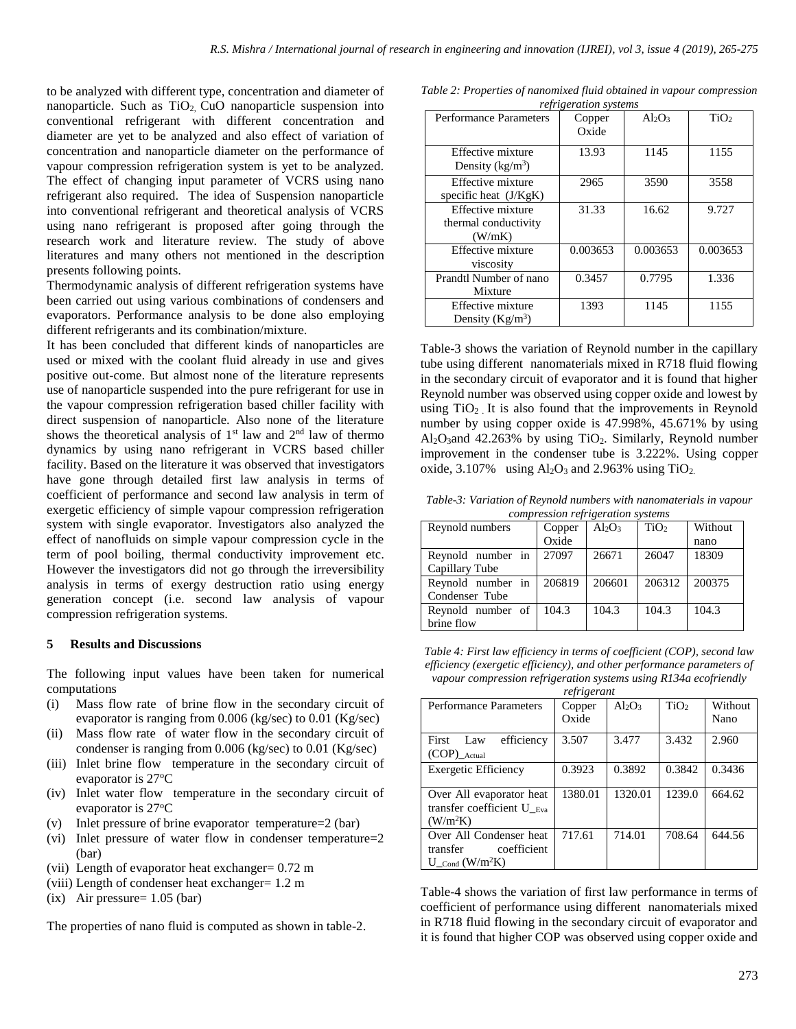to be analyzed with different type, concentration and diameter of nanoparticle. Such as  $TiO<sub>2</sub>$  CuO nanoparticle suspension into conventional refrigerant with different concentration and diameter are yet to be analyzed and also effect of variation of concentration and nanoparticle diameter on the performance of vapour compression refrigeration system is yet to be analyzed. The effect of changing input parameter of VCRS using nano refrigerant also required. The idea of Suspension nanoparticle into conventional refrigerant and theoretical analysis of VCRS using nano refrigerant is proposed after going through the research work and literature review. The study of above literatures and many others not mentioned in the description presents following points.

Thermodynamic analysis of different refrigeration systems have been carried out using various combinations of condensers and evaporators. Performance analysis to be done also employing different refrigerants and its combination/mixture.

It has been concluded that different kinds of nanoparticles are used or mixed with the coolant fluid already in use and gives positive out-come. But almost none of the literature represents use of nanoparticle suspended into the pure refrigerant for use in the vapour compression refrigeration based chiller facility with direct suspension of nanoparticle. Also none of the literature shows the theoretical analysis of  $1<sup>st</sup>$  law and  $2<sup>nd</sup>$  law of thermo dynamics by using nano refrigerant in VCRS based chiller facility. Based on the literature it was observed that investigators have gone through detailed first law analysis in terms of coefficient of performance and second law analysis in term of exergetic efficiency of simple vapour compression refrigeration system with single evaporator. Investigators also analyzed the effect of nanofluids on simple vapour compression cycle in the term of pool boiling, thermal conductivity improvement etc. However the investigators did not go through the irreversibility analysis in terms of exergy destruction ratio using energy generation concept (i.e. second law analysis of vapour compression refrigeration systems.

#### **5 Results and Discussions**

The following input values have been taken for numerical computations

- (i) Mass flow rate of brine flow in the secondary circuit of evaporator is ranging from 0.006 (kg/sec) to 0.01 (Kg/sec)
- (ii) Mass flow rate of water flow in the secondary circuit of condenser is ranging from 0.006 (kg/sec) to 0.01 (Kg/sec)
- (iii) Inlet brine flow temperature in the secondary circuit of evaporator is 27°C
- (iv) Inlet water flow temperature in the secondary circuit of evaporator is 27°C
- (v) Inlet pressure of brine evaporator temperature=2 (bar)
- (vi) Inlet pressure of water flow in condenser temperature=2 (bar)
- (vii) Length of evaporator heat exchanger= 0.72 m
- (viii) Length of condenser heat exchanger= 1.2 m
- (ix) Air pressure= 1.05 (bar)

The properties of nano fluid is computed as shown in table-2.

| Table 2: Properties of nanomixed fluid obtained in vapour compression |
|-----------------------------------------------------------------------|
| <i>refrigeration systems</i>                                          |

| <b>Performance Parameters</b>                       | $\overline{\phantom{a}}$<br>Copper<br>Oxide | $Al_2O_3$ | TiO <sub>2</sub> |
|-----------------------------------------------------|---------------------------------------------|-----------|------------------|
| Effective mixture<br>Density $(kg/m^3)$             | 13.93                                       | 1145      | 1155             |
| Effective mixture<br>specific heat $(J/KgK)$        | 2965                                        | 3590      | 3558             |
| Effective mixture<br>thermal conductivity<br>(W/mK) | 31.33                                       | 16.62     | 9.727            |
| Effective mixture<br>viscosity                      | 0.003653                                    | 0.003653  | 0.003653         |
| Prandtl Number of nano<br>Mixture                   | 0.3457                                      | 0.7795    | 1.336            |
| Effective mixture<br>Density $(Kg/m^3)$             | 1393                                        | 1145      | 1155             |

Table-3 shows the variation of Reynold number in the capillary tube using different nanomaterials mixed in R718 fluid flowing in the secondary circuit of evaporator and it is found that higher Reynold number was observed using copper oxide and lowest by using  $TiO<sub>2</sub>$ . It is also found that the improvements in Reynold number by using copper oxide is 47.998%, 45.671% by using Al<sub>2</sub>O<sub>3</sub>and 42.263% by using TiO<sub>2</sub>. Similarly, Reynold number improvement in the condenser tube is 3.222%. Using copper oxide,  $3.107\%$  using  $Al_2O_3$  and  $2.963\%$  using TiO<sub>2.</sub>

*Table-3: Variation of Reynold numbers with nanomaterials in vapour compression refrigeration systems*

| Reynold numbers   | Copper | $Al_2O_3$ | TiO <sub>2</sub> | Without |
|-------------------|--------|-----------|------------------|---------|
|                   | Oxide  |           |                  | nano    |
| Reynold number in | 27097  | 26671     | 26047            | 18309   |
| Capillary Tube    |        |           |                  |         |
| Reynold number in | 206819 | 206601    | 206312           | 200375  |
| Condenser Tube    |        |           |                  |         |
| Reynold number of | 104.3  | 104.3     | 104.3            | 104.3   |
| brine flow        |        |           |                  |         |

*Table 4: First law efficiency in terms of coefficient (COP), second law efficiency (exergetic efficiency), and other performance parameters of vapour compression refrigeration systems using R134a ecofriendly* 

| refrigerant                                                                        |                 |           |                  |                 |
|------------------------------------------------------------------------------------|-----------------|-----------|------------------|-----------------|
| <b>Performance Parameters</b>                                                      | Copper<br>Oxide | $Al_2O_3$ | TiO <sub>2</sub> | Without<br>Nano |
| efficiency<br>First<br>Law<br>$(COP)$ _Actual                                      | 3.507           | 3.477     | 3.432            | 2.960           |
| <b>Exergetic Efficiency</b>                                                        | 0.3923          | 0.3892    | 0.3842           | 0.3436          |
| Over All evaporator heat<br>transfer coefficient $U_{Eva}$<br>(W/m <sup>2</sup> K) | 1380.01         | 1320.01   | 1239.0           | 664.62          |
| Over All Condenser heat<br>coefficient<br>transfer<br>$U_{\text{cond}}(W/m^2K)$    | 717.61          | 714.01    | 708.64           | 644.56          |

Table-4 shows the variation of first law performance in terms of coefficient of performance using different nanomaterials mixed in R718 fluid flowing in the secondary circuit of evaporator and it is found that higher COP was observed using copper oxide and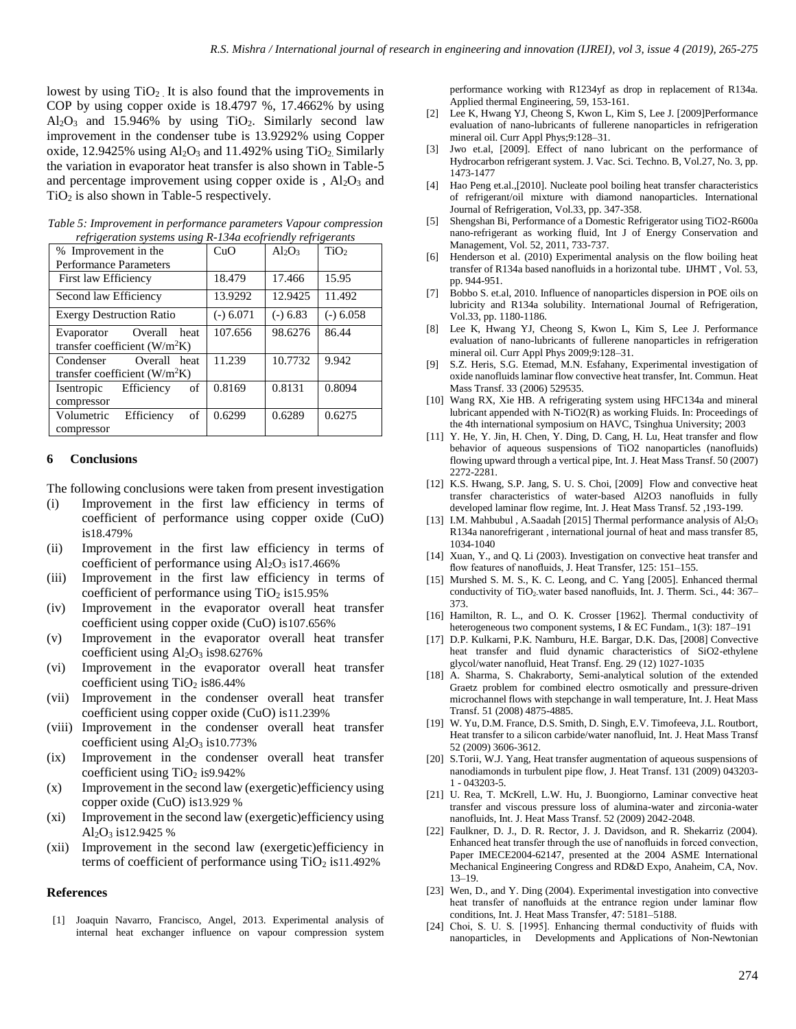lowest by using  $TiO<sub>2</sub>$ . It is also found that the improvements in COP by using copper oxide is 18.4797 %, 17.4662% by using  $Al_2O_3$  and 15.946% by using TiO<sub>2</sub>. Similarly second law improvement in the condenser tube is 13.9292% using Copper oxide, 12.9425% using  $Al_2O_3$  and 11.492% using TiO<sub>2</sub>. Similarly the variation in evaporator heat transfer is also shown in Table-5 and percentage improvement using copper oxide is,  $Al_2O_3$  and  $TiO<sub>2</sub>$  is also shown in Table-5 respectively.

|                                 | $\ldots$ . The complete state $\ldots$ is the second form of $\ldots$ |             |            |                  |
|---------------------------------|-----------------------------------------------------------------------|-------------|------------|------------------|
| % Improvement in the            |                                                                       | CuO         | $Al_2O_3$  | TiO <sub>2</sub> |
| <b>Performance Parameters</b>   |                                                                       |             |            |                  |
| First law Efficiency            |                                                                       | 18.479      | 17.466     | 15.95            |
| Second law Efficiency           |                                                                       | 13.9292     | 12.9425    | 11.492           |
| <b>Exergy Destruction Ratio</b> |                                                                       | $(-) 6.071$ | $(-) 6.83$ | $(-) 6.058$      |
| Evaporator                      | Overall heat                                                          | 107.656     | 98.6276    | 86.44            |
|                                 | transfer coefficient $(W/m2K)$                                        |             |            |                  |
| Condenser                       | Overall<br>heat                                                       | 11.239      | 10.7732    | 9.942            |
|                                 | transfer coefficient $(W/m^2K)$                                       |             |            |                  |
| Isentropic                      | Efficiency<br>of                                                      | 0.8169      | 0.8131     | 0.8094           |
| compressor                      |                                                                       |             |            |                  |
| Volumetric                      | Efficiency<br>of                                                      | 0.6299      | 0.6289     | 0.6275           |
| compressor                      |                                                                       |             |            |                  |

*Table 5: Improvement in performance parameters Vapour compression refrigeration systems using R-134a ecofriendly refrigerants*

#### **6 Conclusions**

The following conclusions were taken from present investigation

- (i) Improvement in the first law efficiency in terms of coefficient of performance using copper oxide (CuO) is18.479%
- (ii) Improvement in the first law efficiency in terms of coefficient of performance using  $Al_2O_3$  is 17.466%
- (iii) Improvement in the first law efficiency in terms of coefficient of performance using  $TiO<sub>2</sub>$  is 15.95%
- (iv) Improvement in the evaporator overall heat transfer coefficient using copper oxide (CuO) is107.656%
- (v) Improvement in the evaporator overall heat transfer coefficient using  $Al_2O_3$  is 98.6276%
- (vi) Improvement in the evaporator overall heat transfer coefficient using  $TiO<sub>2</sub>$  is 86.44%
- (vii) Improvement in the condenser overall heat transfer coefficient using copper oxide (CuO) is11.239%
- (viii) Improvement in the condenser overall heat transfer coefficient using  $Al_2O_3$  is 10.773%
- (ix) Improvement in the condenser overall heat transfer coefficient using TiO<sub>2</sub> is9.942%
- (x) Improvement in the second law (exergetic)efficiency using copper oxide (CuO) is13.929 %
- (xi) Improvement in the second law (exergetic)efficiency using  $Al_2O_3$  is 12.9425 %
- (xii) Improvement in the second law (exergetic)efficiency in terms of coefficient of performance using  $TiO<sub>2</sub>$  is11.492%

#### **References**

[1] Joaquin Navarro, Francisco, Angel, 2013. Experimental analysis of internal heat exchanger influence on vapour compression system performance working with R1234yf as drop in replacement of R134a. Applied thermal Engineering, 59, 153-161.

- [2] Lee K, Hwang YJ, Cheong S, Kwon L, Kim S, Lee J. [2009]Performance evaluation of nano-lubricants of fullerene nanoparticles in refrigeration mineral oil. Curr Appl Phys;9:128–31.
- [3] Jwo et.al, [2009]. Effect of nano lubricant on the performance of Hydrocarbon refrigerant system. J. Vac. Sci. Techno. B, Vol.27, No. 3, pp. 1473-1477
- [4] Hao Peng et.al.,[2010]. Nucleate pool boiling heat transfer characteristics of refrigerant/oil mixture with diamond nanoparticles. International Journal of Refrigeration, Vol.33, pp. 347-358.
- [5] Shengshan Bi, Performance of a Domestic Refrigerator using TiO2-R600a nano-refrigerant as working fluid, Int J of Energy Conservation and Management, Vol. 52, 2011, 733-737.
- Henderson et al. (2010) Experimental analysis on the flow boiling heat transfer of R134a based nanofluids in a horizontal tube. IJHMT , Vol. 53, pp. 944-951.
- [7] Bobbo S. et.al, 2010. Influence of nanoparticles dispersion in POE oils on lubricity and R134a solubility. International Journal of Refrigeration, Vol.33, pp. 1180-1186.
- [8] Lee K, Hwang YJ, Cheong S, Kwon L, Kim S, Lee J. Performance evaluation of nano-lubricants of fullerene nanoparticles in refrigeration mineral oil. Curr Appl Phys 2009;9:128–31.
- [9] S.Z. Heris, S.G. Etemad, M.N. Esfahany, Experimental investigation of oxide nanofluids laminar flow convective heat transfer, Int. Commun. Heat Mass Transf. 33 (2006) 529535.
- [10] Wang RX, Xie HB. A refrigerating system using HFC134a and mineral lubricant appended with N-TiO2(R) as working Fluids. In: Proceedings of the 4th international symposium on HAVC, Tsinghua University; 2003
- [11] Y. He, Y. Jin, H. Chen, Y. Ding, D. Cang, H. Lu, Heat transfer and flow behavior of aqueous suspensions of TiO2 nanoparticles (nanofluids) flowing upward through a vertical pipe, Int. J. Heat Mass Transf. 50 (2007) 2272-2281.
- [12] K.S. Hwang, S.P. Jang, S. U. S. Choi, [2009] Flow and convective heat transfer characteristics of water-based Al2O3 nanofluids in fully developed laminar flow regime, Int. J. Heat Mass Transf. 52 ,193-199.
- [13] I.M. Mahbubul, A.Saadah [2015] Thermal performance analysis of  $Al_2O_3$ R134a nanorefrigerant , international journal of heat and mass transfer 85, 1034-1040
- [14] Xuan, Y., and Q. Li (2003). Investigation on convective heat transfer and flow features of nanofluids, J. Heat Transfer, 125: 151–155.
- [15] Murshed S. M. S., K. C. Leong, and C. Yang [2005]. Enhanced thermal conductivity of TiO<sub>2</sub> water based nanofluids, Int. J. Therm. Sci., 44: 367– 373.
- [16] Hamilton, R. L., and O. K. Crosser [1962]. Thermal conductivity of heterogeneous two component systems, I & EC Fundam., 1(3): 187-191
- [17] D.P. Kulkarni, P.K. Namburu, H.E. Bargar, D.K. Das, [2008] Convective heat transfer and fluid dynamic characteristics of SiO2-ethylene glycol/water nanofluid, Heat Transf. Eng. 29 (12) 1027-1035
- [18] A. Sharma, S. Chakraborty, Semi-analytical solution of the extended Graetz problem for combined electro osmotically and pressure-driven microchannel flows with stepchange in wall temperature, Int. J. Heat Mass Transf. 51 (2008) 4875-4885.
- [19] W. Yu, D.M. France, D.S. Smith, D. Singh, E.V. Timofeeva, J.L. Routbort, Heat transfer to a silicon carbide/water nanofluid, Int. J. Heat Mass Transf 52 (2009) 3606-3612.
- [20] S.Torii, W.J. Yang, Heat transfer augmentation of aqueous suspensions of nanodiamonds in turbulent pipe flow, J. Heat Transf. 131 (2009) 043203- 1 - 043203-5.
- [21] U. Rea, T. McKrell, L.W. Hu, J. Buongiorno, Laminar convective heat transfer and viscous pressure loss of alumina-water and zirconia-water nanofluids, Int. J. Heat Mass Transf. 52 (2009) 2042-2048.
- [22] Faulkner, D. J., D. R. Rector, J. J. Davidson, and R. Shekarriz (2004). Enhanced heat transfer through the use of nanofluids in forced convection, Paper IMECE2004-62147, presented at the 2004 ASME International Mechanical Engineering Congress and RD&D Expo, Anaheim, CA, Nov. 13–19.
- [23] Wen, D., and Y. Ding (2004). Experimental investigation into convective heat transfer of nanofluids at the entrance region under laminar flow conditions, Int. J. Heat Mass Transfer, 47: 5181–5188.
- [24] Choi, S. U. S. [1995]. Enhancing thermal conductivity of fluids with nanoparticles, in Developments and Applications of Non-Newtonian